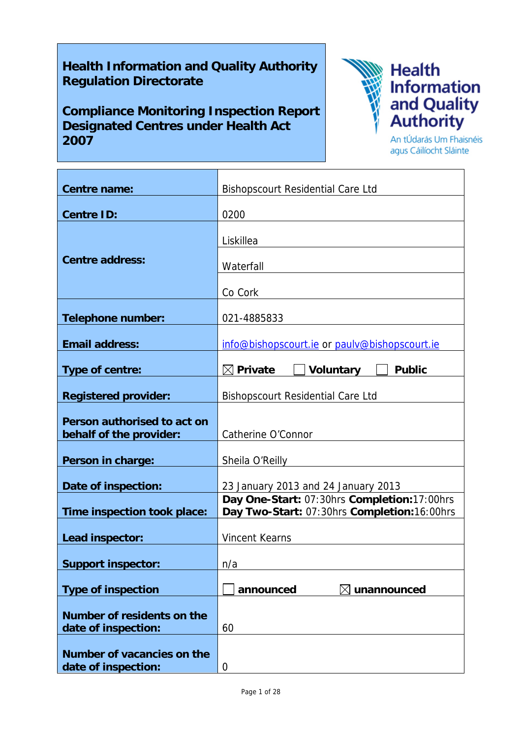# **Health Information and Quality Authority Regulation Directorate**

**Compliance Monitoring Inspection Report Designated Centres under Health Act 2007**



**Health** Information<br>and Quality<br>Authority

An tÚdarás Um Fhaisnéis agus Cáilíocht Sláinte

| <b>Centre name:</b>                                    | <b>Bishopscourt Residential Care Ltd</b>                                                   |
|--------------------------------------------------------|--------------------------------------------------------------------------------------------|
| <b>Centre ID:</b>                                      | 0200                                                                                       |
| <b>Centre address:</b>                                 | Liskillea<br>Waterfall                                                                     |
|                                                        | Co Cork                                                                                    |
| <b>Telephone number:</b>                               | 021-4885833                                                                                |
| <b>Email address:</b>                                  | info@bishopscourt.ie or paulv@bishopscourt.ie                                              |
| <b>Type of centre:</b>                                 | $\boxtimes$ Private<br><b>Voluntary</b><br><b>Public</b>                                   |
| <b>Registered provider:</b>                            | <b>Bishopscourt Residential Care Ltd</b>                                                   |
| Person authorised to act on<br>behalf of the provider: | Catherine O'Connor                                                                         |
| Person in charge:                                      | Sheila O'Reilly                                                                            |
| Date of inspection:                                    | 23 January 2013 and 24 January 2013                                                        |
| Time inspection took place:                            | Day One-Start: 07:30hrs Completion:17:00hrs<br>Day Two-Start: 07:30hrs Completion:16:00hrs |
| Lead inspector:                                        | <b>Vincent Kearns</b>                                                                      |
| <b>Support inspector:</b>                              | n/a                                                                                        |
| <b>Type of inspection</b>                              | announced<br>unannounced                                                                   |
| Number of residents on the<br>date of inspection:      | 60                                                                                         |
| Number of vacancies on the<br>date of inspection:      | 0                                                                                          |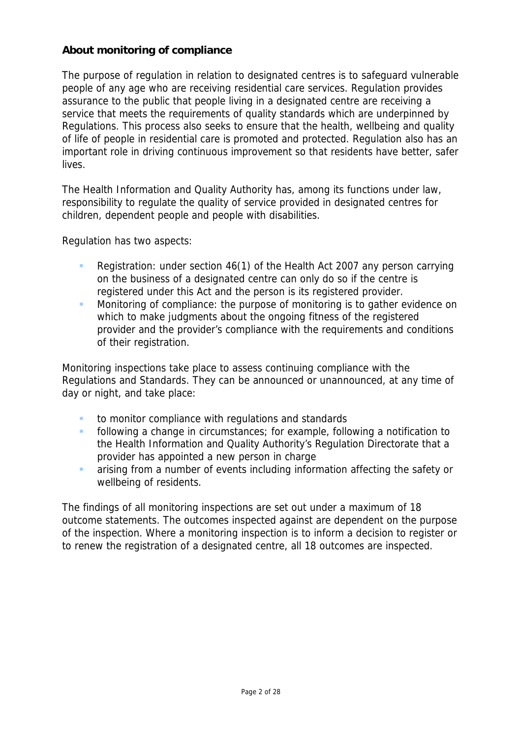## **About monitoring of compliance**

The purpose of regulation in relation to designated centres is to safeguard vulnerable people of any age who are receiving residential care services. Regulation provides assurance to the public that people living in a designated centre are receiving a service that meets the requirements of quality standards which are underpinned by Regulations. This process also seeks to ensure that the health, wellbeing and quality of life of people in residential care is promoted and protected. Regulation also has an important role in driving continuous improvement so that residents have better, safer lives.

The Health Information and Quality Authority has, among its functions under law, responsibility to regulate the quality of service provided in designated centres for children, dependent people and people with disabilities.

Regulation has two aspects:

- Registration: under section 46(1) of the Health Act 2007 any person carrying on the business of a designated centre can only do so if the centre is registered under this Act and the person is its registered provider.
- **Monitoring of compliance: the purpose of monitoring is to gather evidence on** which to make judgments about the ongoing fitness of the registered provider and the provider's compliance with the requirements and conditions of their registration.

Monitoring inspections take place to assess continuing compliance with the Regulations and Standards. They can be announced or unannounced, at any time of day or night, and take place:

- to monitor compliance with regulations and standards
- **following a change in circumstances; for example, following a notification to** the Health Information and Quality Authority's Regulation Directorate that a provider has appointed a new person in charge
- **a** arising from a number of events including information affecting the safety or wellbeing of residents.

The findings of all monitoring inspections are set out under a maximum of 18 outcome statements. The outcomes inspected against are dependent on the purpose of the inspection. Where a monitoring inspection is to inform a decision to register or to renew the registration of a designated centre, all 18 outcomes are inspected.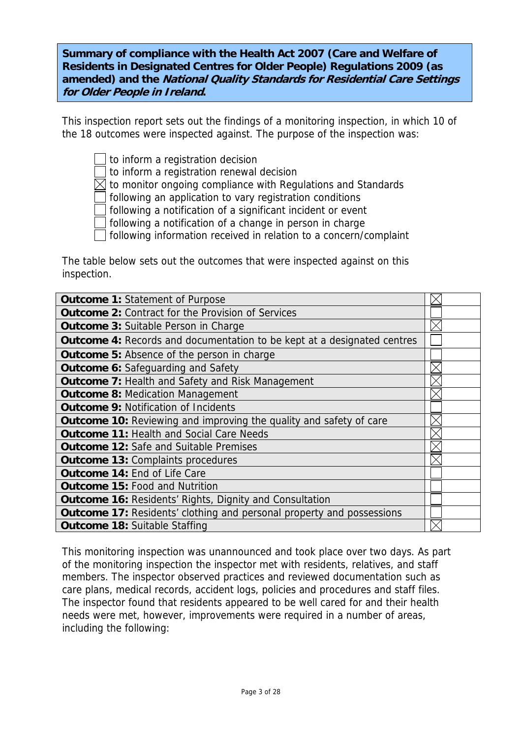**Summary of compliance with the Health Act 2007 (Care and Welfare of Residents in Designated Centres for Older People) Regulations 2009 (as amended) and the National Quality Standards for Residential Care Settings for Older People in Ireland.**

This inspection report sets out the findings of a monitoring inspection, in which 10 of the 18 outcomes were inspected against. The purpose of the inspection was:

 $\perp$  to inform a registration decision

to inform a registration renewal decision

 $\boxtimes$  to monitor ongoing compliance with Regulations and Standards

following an application to vary registration conditions

following a notification of a significant incident or event

following a notification of a change in person in charge

following information received in relation to a concern/complaint

The table below sets out the outcomes that were inspected against on this inspection.

| <b>Outcome 1: Statement of Purpose</b>                                         |  |
|--------------------------------------------------------------------------------|--|
| <b>Outcome 2: Contract for the Provision of Services</b>                       |  |
| <b>Outcome 3: Suitable Person in Charge</b>                                    |  |
| <b>Outcome 4:</b> Records and documentation to be kept at a designated centres |  |
| <b>Outcome 5:</b> Absence of the person in charge                              |  |
| <b>Outcome 6:</b> Safeguarding and Safety                                      |  |
| <b>Outcome 7: Health and Safety and Risk Management</b>                        |  |
| <b>Outcome 8: Medication Management</b>                                        |  |
| <b>Outcome 9: Notification of Incidents</b>                                    |  |
| <b>Outcome 10:</b> Reviewing and improving the quality and safety of care      |  |
| <b>Outcome 11: Health and Social Care Needs</b>                                |  |
| <b>Outcome 12: Safe and Suitable Premises</b>                                  |  |
| <b>Outcome 13: Complaints procedures</b>                                       |  |
| Outcome 14: End of Life Care                                                   |  |
| <b>Outcome 15: Food and Nutrition</b>                                          |  |
| <b>Outcome 16: Residents' Rights, Dignity and Consultation</b>                 |  |
| Outcome 17: Residents' clothing and personal property and possessions          |  |
| <b>Outcome 18: Suitable Staffing</b>                                           |  |

This monitoring inspection was unannounced and took place over two days. As part of the monitoring inspection the inspector met with residents, relatives, and staff members. The inspector observed practices and reviewed documentation such as care plans, medical records, accident logs, policies and procedures and staff files. The inspector found that residents appeared to be well cared for and their health needs were met, however, improvements were required in a number of areas, including the following: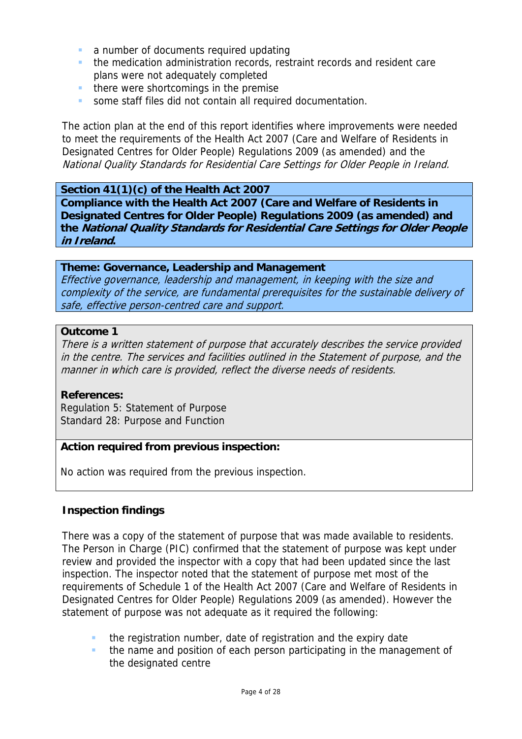- **a** a number of documents required updating
- **the medication administration records, restraint records and resident care** plans were not adequately completed
- there were shortcomings in the premise
- some staff files did not contain all required documentation.

The action plan at the end of this report identifies where improvements were needed to meet the requirements of the Health Act 2007 (Care and Welfare of Residents in Designated Centres for Older People) Regulations 2009 (as amended) and the National Quality Standards for Residential Care Settings for Older People in Ireland.

### **Section 41(1)(c) of the Health Act 2007**

**Compliance with the Health Act 2007 (Care and Welfare of Residents in Designated Centres for Older People) Regulations 2009 (as amended) and the National Quality Standards for Residential Care Settings for Older People in Ireland.** 

## **Theme: Governance, Leadership and Management**

Effective governance, leadership and management, in keeping with the size and complexity of the service, are fundamental prerequisites for the sustainable delivery of safe, effective person-centred care and support.

#### **Outcome 1**

There is a written statement of purpose that accurately describes the service provided in the centre. The services and facilities outlined in the Statement of purpose, and the manner in which care is provided, reflect the diverse needs of residents.

#### **References:**

Regulation 5: Statement of Purpose Standard 28: Purpose and Function

## **Action required from previous inspection:**

No action was required from the previous inspection.

## **Inspection findings**

There was a copy of the statement of purpose that was made available to residents. The Person in Charge (PIC) confirmed that the statement of purpose was kept under review and provided the inspector with a copy that had been updated since the last inspection. The inspector noted that the statement of purpose met most of the requirements of Schedule 1 of the Health Act 2007 (Care and Welfare of Residents in Designated Centres for Older People) Regulations 2009 (as amended). However the statement of purpose was not adequate as it required the following:

- **the registration number, date of registration and the expiry date**
- the name and position of each person participating in the management of the designated centre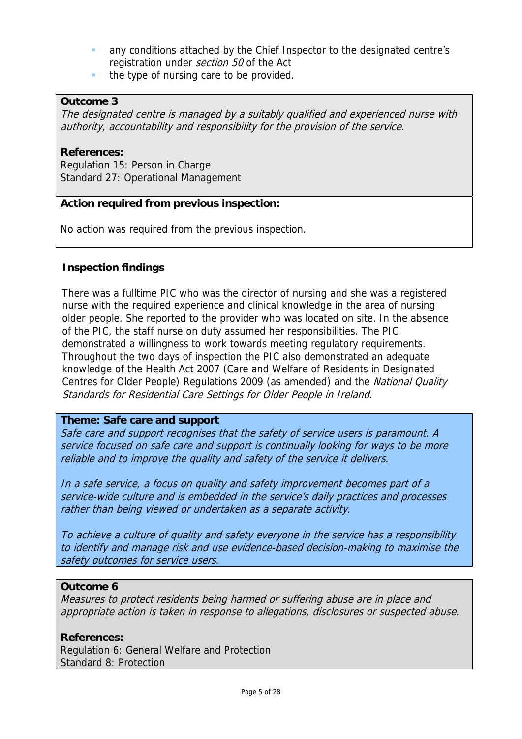- any conditions attached by the Chief Inspector to the designated centre's registration under *section 50* of the Act
- $\blacksquare$  the type of nursing care to be provided.

## **Outcome 3**

The designated centre is managed by a suitably qualified and experienced nurse with authority, accountability and responsibility for the provision of the service.

## **References:**

Regulation 15: Person in Charge Standard 27: Operational Management

## **Action required from previous inspection:**

No action was required from the previous inspection.

## **Inspection findings**

There was a fulltime PIC who was the director of nursing and she was a registered nurse with the required experience and clinical knowledge in the area of nursing older people. She reported to the provider who was located on site. In the absence of the PIC, the staff nurse on duty assumed her responsibilities. The PIC demonstrated a willingness to work towards meeting regulatory requirements. Throughout the two days of inspection the PIC also demonstrated an adequate knowledge of the Health Act 2007 (Care and Welfare of Residents in Designated Centres for Older People) Regulations 2009 (as amended) and the National Quality Standards for Residential Care Settings for Older People in Ireland.

#### **Theme: Safe care and support**

Safe care and support recognises that the safety of service users is paramount. A service focused on safe care and support is continually looking for ways to be more reliable and to improve the quality and safety of the service it delivers.

In a safe service, a focus on quality and safety improvement becomes part of a service-wide culture and is embedded in the service's daily practices and processes rather than being viewed or undertaken as a separate activity.

To achieve a culture of quality and safety everyone in the service has a responsibility to identify and manage risk and use evidence-based decision-making to maximise the safety outcomes for service users.

## **Outcome 6**

Measures to protect residents being harmed or suffering abuse are in place and appropriate action is taken in response to allegations, disclosures or suspected abuse.

#### **References:**

Regulation 6: General Welfare and Protection Standard 8: Protection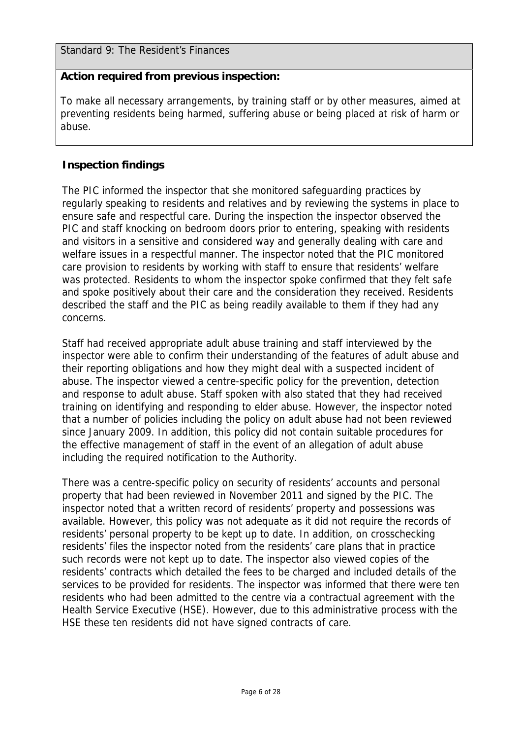Standard 9: The Resident's Finances

## **Action required from previous inspection:**

To make all necessary arrangements, by training staff or by other measures, aimed at preventing residents being harmed, suffering abuse or being placed at risk of harm or abuse.

## **Inspection findings**

The PIC informed the inspector that she monitored safeguarding practices by regularly speaking to residents and relatives and by reviewing the systems in place to ensure safe and respectful care. During the inspection the inspector observed the PIC and staff knocking on bedroom doors prior to entering, speaking with residents and visitors in a sensitive and considered way and generally dealing with care and welfare issues in a respectful manner. The inspector noted that the PIC monitored care provision to residents by working with staff to ensure that residents' welfare was protected. Residents to whom the inspector spoke confirmed that they felt safe and spoke positively about their care and the consideration they received. Residents described the staff and the PIC as being readily available to them if they had any concerns.

Staff had received appropriate adult abuse training and staff interviewed by the inspector were able to confirm their understanding of the features of adult abuse and their reporting obligations and how they might deal with a suspected incident of abuse. The inspector viewed a centre-specific policy for the prevention, detection and response to adult abuse. Staff spoken with also stated that they had received training on identifying and responding to elder abuse. However, the inspector noted that a number of policies including the policy on adult abuse had not been reviewed since January 2009. In addition, this policy did not contain suitable procedures for the effective management of staff in the event of an allegation of adult abuse including the required notification to the Authority.

There was a centre-specific policy on security of residents' accounts and personal property that had been reviewed in November 2011 and signed by the PIC. The inspector noted that a written record of residents' property and possessions was available. However, this policy was not adequate as it did not require the records of residents' personal property to be kept up to date. In addition, on crosschecking residents' files the inspector noted from the residents' care plans that in practice such records were not kept up to date. The inspector also viewed copies of the residents' contracts which detailed the fees to be charged and included details of the services to be provided for residents. The inspector was informed that there were ten residents who had been admitted to the centre via a contractual agreement with the Health Service Executive (HSE). However, due to this administrative process with the HSE these ten residents did not have signed contracts of care.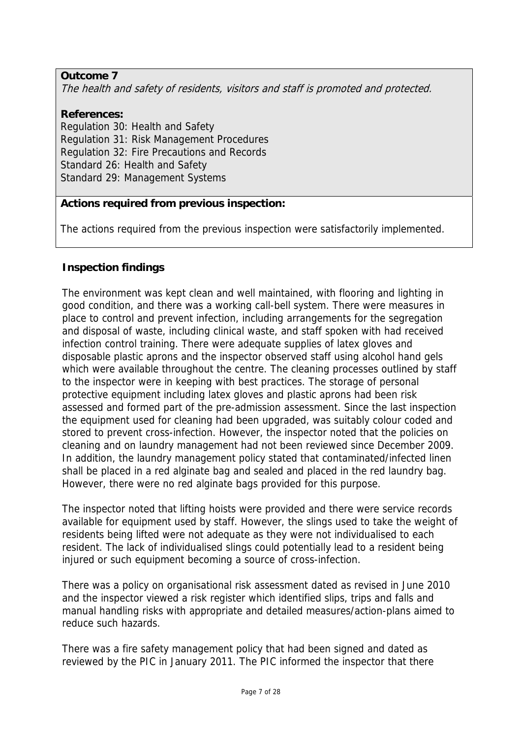## **Outcome 7**

The health and safety of residents, visitors and staff is promoted and protected.

# **References:**

Regulation 30: Health and Safety Regulation 31: Risk Management Procedures Regulation 32: Fire Precautions and Records Standard 26: Health and Safety Standard 29: Management Systems

## **Actions required from previous inspection:**

The actions required from the previous inspection were satisfactorily implemented.

## **Inspection findings**

The environment was kept clean and well maintained, with flooring and lighting in good condition, and there was a working call-bell system. There were measures in place to control and prevent infection, including arrangements for the segregation and disposal of waste, including clinical waste, and staff spoken with had received infection control training. There were adequate supplies of latex gloves and disposable plastic aprons and the inspector observed staff using alcohol hand gels which were available throughout the centre. The cleaning processes outlined by staff to the inspector were in keeping with best practices. The storage of personal protective equipment including latex gloves and plastic aprons had been risk assessed and formed part of the pre-admission assessment. Since the last inspection the equipment used for cleaning had been upgraded, was suitably colour coded and stored to prevent cross-infection. However, the inspector noted that the policies on cleaning and on laundry management had not been reviewed since December 2009. In addition, the laundry management policy stated that contaminated/infected linen shall be placed in a red alginate bag and sealed and placed in the red laundry bag. However, there were no red alginate bags provided for this purpose.

The inspector noted that lifting hoists were provided and there were service records available for equipment used by staff. However, the slings used to take the weight of residents being lifted were not adequate as they were not individualised to each resident. The lack of individualised slings could potentially lead to a resident being injured or such equipment becoming a source of cross-infection.

There was a policy on organisational risk assessment dated as revised in June 2010 and the inspector viewed a risk register which identified slips, trips and falls and manual handling risks with appropriate and detailed measures/action-plans aimed to reduce such hazards.

There was a fire safety management policy that had been signed and dated as reviewed by the PIC in January 2011. The PIC informed the inspector that there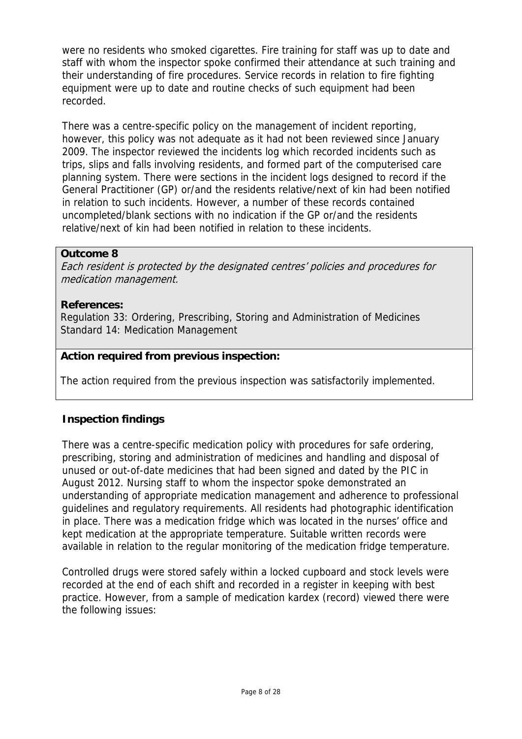were no residents who smoked cigarettes. Fire training for staff was up to date and staff with whom the inspector spoke confirmed their attendance at such training and their understanding of fire procedures. Service records in relation to fire fighting equipment were up to date and routine checks of such equipment had been recorded.

There was a centre-specific policy on the management of incident reporting, however, this policy was not adequate as it had not been reviewed since January 2009. The inspector reviewed the incidents log which recorded incidents such as trips, slips and falls involving residents, and formed part of the computerised care planning system. There were sections in the incident logs designed to record if the General Practitioner (GP) or/and the residents relative/next of kin had been notified in relation to such incidents. However, a number of these records contained uncompleted/blank sections with no indication if the GP or/and the residents relative/next of kin had been notified in relation to these incidents.

## **Outcome 8**

Each resident is protected by the designated centres' policies and procedures for medication management.

## **References:**

Regulation 33: Ordering, Prescribing, Storing and Administration of Medicines Standard 14: Medication Management

## **Action required from previous inspection:**

The action required from the previous inspection was satisfactorily implemented.

## **Inspection findings**

There was a centre-specific medication policy with procedures for safe ordering, prescribing, storing and administration of medicines and handling and disposal of unused or out-of-date medicines that had been signed and dated by the PIC in August 2012. Nursing staff to whom the inspector spoke demonstrated an understanding of appropriate medication management and adherence to professional guidelines and regulatory requirements. All residents had photographic identification in place. There was a medication fridge which was located in the nurses' office and kept medication at the appropriate temperature. Suitable written records were available in relation to the regular monitoring of the medication fridge temperature.

Controlled drugs were stored safely within a locked cupboard and stock levels were recorded at the end of each shift and recorded in a register in keeping with best practice. However, from a sample of medication kardex (record) viewed there were the following issues: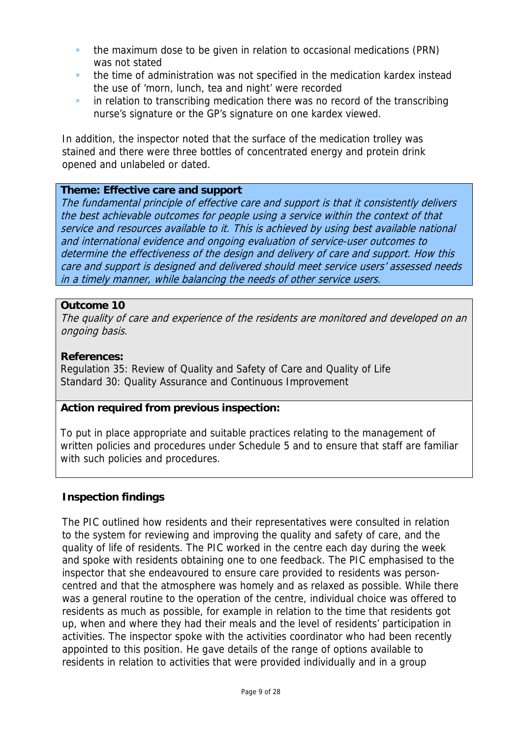- the maximum dose to be given in relation to occasional medications (PRN) was not stated
- **the time of administration was not specified in the medication kardex instead** the use of 'morn, lunch, tea and night' were recorded
- **in relation to transcribing medication there was no record of the transcribing** nurse's signature or the GP's signature on one kardex viewed.

In addition, the inspector noted that the surface of the medication trolley was stained and there were three bottles of concentrated energy and protein drink opened and unlabeled or dated.

## **Theme: Effective care and support**

The fundamental principle of effective care and support is that it consistently delivers the best achievable outcomes for people using a service within the context of that service and resources available to it. This is achieved by using best available national and international evidence and ongoing evaluation of service-user outcomes to determine the effectiveness of the design and delivery of care and support. How this care and support is designed and delivered should meet service users' assessed needs in a timely manner, while balancing the needs of other service users.

## **Outcome 10**

The quality of care and experience of the residents are monitored and developed on an ongoing basis.

## **References:**

Regulation 35: Review of Quality and Safety of Care and Quality of Life Standard 30: Quality Assurance and Continuous Improvement

## **Action required from previous inspection:**

To put in place appropriate and suitable practices relating to the management of written policies and procedures under Schedule 5 and to ensure that staff are familiar with such policies and procedures.

## **Inspection findings**

The PIC outlined how residents and their representatives were consulted in relation to the system for reviewing and improving the quality and safety of care, and the quality of life of residents. The PIC worked in the centre each day during the week and spoke with residents obtaining one to one feedback. The PIC emphasised to the inspector that she endeavoured to ensure care provided to residents was personcentred and that the atmosphere was homely and as relaxed as possible. While there was a general routine to the operation of the centre, individual choice was offered to residents as much as possible, for example in relation to the time that residents got up, when and where they had their meals and the level of residents' participation in activities. The inspector spoke with the activities coordinator who had been recently appointed to this position. He gave details of the range of options available to residents in relation to activities that were provided individually and in a group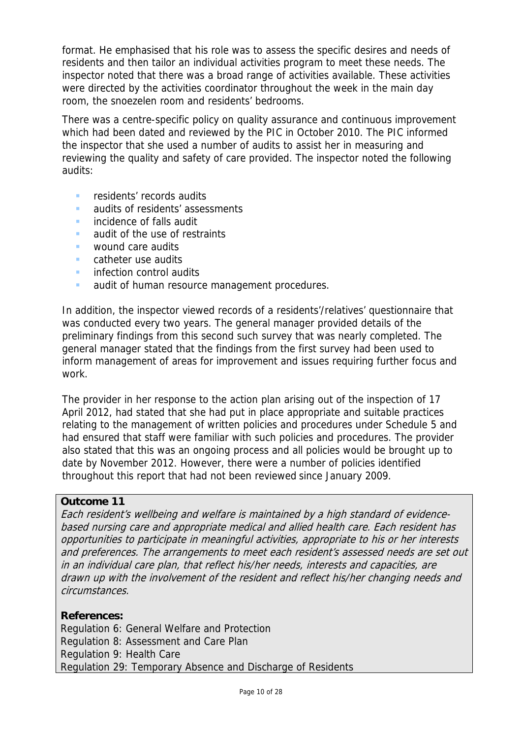format. He emphasised that his role was to assess the specific desires and needs of residents and then tailor an individual activities program to meet these needs. The inspector noted that there was a broad range of activities available. These activities were directed by the activities coordinator throughout the week in the main day room, the snoezelen room and residents' bedrooms.

There was a centre-specific policy on quality assurance and continuous improvement which had been dated and reviewed by the PIC in October 2010. The PIC informed the inspector that she used a number of audits to assist her in measuring and reviewing the quality and safety of care provided. The inspector noted the following audits:

- residents' records audits
- audits of residents' assessments
- **incidence of falls audit**
- **audit of the use of restraints**
- **WOUND CALC AUDITS**
- **Catheter use audits**
- **infection control audits**
- **audit of human resource management procedures.**

In addition, the inspector viewed records of a residents'/relatives' questionnaire that was conducted every two years. The general manager provided details of the preliminary findings from this second such survey that was nearly completed. The general manager stated that the findings from the first survey had been used to inform management of areas for improvement and issues requiring further focus and work.

The provider in her response to the action plan arising out of the inspection of 17 April 2012, had stated that she had put in place appropriate and suitable practices relating to the management of written policies and procedures under Schedule 5 and had ensured that staff were familiar with such policies and procedures. The provider also stated that this was an ongoing process and all policies would be brought up to date by November 2012. However, there were a number of policies identified throughout this report that had not been reviewed since January 2009.

## **Outcome 11**

Each resident's wellbeing and welfare is maintained by a high standard of evidencebased nursing care and appropriate medical and allied health care. Each resident has opportunities to participate in meaningful activities, appropriate to his or her interests and preferences. The arrangements to meet each resident's assessed needs are set out in an individual care plan, that reflect his/her needs, interests and capacities, are drawn up with the involvement of the resident and reflect his/her changing needs and circumstances.

## **References:**

Regulation 6: General Welfare and Protection Regulation 8: Assessment and Care Plan Regulation 9: Health Care Regulation 29: Temporary Absence and Discharge of Residents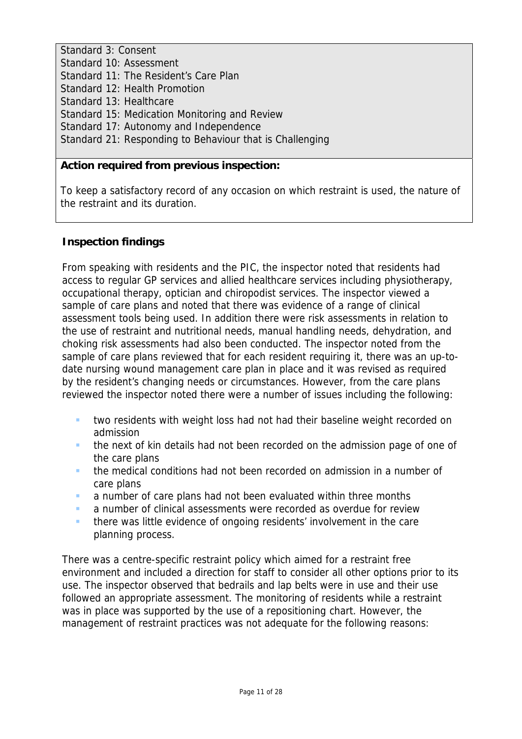Standard 3: Consent Standard 10: Assessment Standard 11: The Resident's Care Plan Standard 12: Health Promotion Standard 13: Healthcare Standard 15: Medication Monitoring and Review Standard 17: Autonomy and Independence Standard 21: Responding to Behaviour that is Challenging

## **Action required from previous inspection:**

To keep a satisfactory record of any occasion on which restraint is used, the nature of the restraint and its duration.

## **Inspection findings**

From speaking with residents and the PIC, the inspector noted that residents had access to regular GP services and allied healthcare services including physiotherapy, occupational therapy, optician and chiropodist services. The inspector viewed a sample of care plans and noted that there was evidence of a range of clinical assessment tools being used. In addition there were risk assessments in relation to the use of restraint and nutritional needs, manual handling needs, dehydration, and choking risk assessments had also been conducted. The inspector noted from the sample of care plans reviewed that for each resident requiring it, there was an up-todate nursing wound management care plan in place and it was revised as required by the resident's changing needs or circumstances. However, from the care plans reviewed the inspector noted there were a number of issues including the following:

- **thata)** two residents with weight loss had not had their baseline weight recorded on admission
- **the next of kin details had not been recorded on the admission page of one of** the care plans
- the medical conditions had not been recorded on admission in a number of care plans
- a number of care plans had not been evaluated within three months
- **a** a number of clinical assessments were recorded as overdue for review
- there was little evidence of ongoing residents' involvement in the care planning process.

There was a centre-specific restraint policy which aimed for a restraint free environment and included a direction for staff to consider all other options prior to its use. The inspector observed that bedrails and lap belts were in use and their use followed an appropriate assessment. The monitoring of residents while a restraint was in place was supported by the use of a repositioning chart. However, the management of restraint practices was not adequate for the following reasons: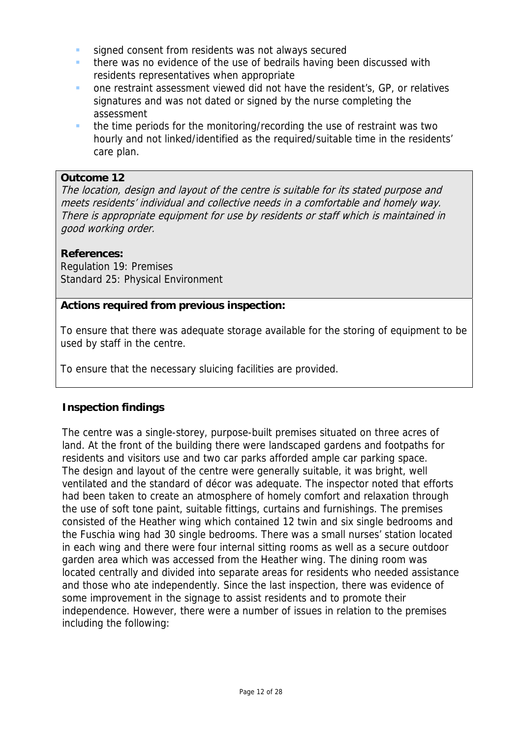- signed consent from residents was not always secured
- **there was no evidence of the use of bedrails having been discussed with** residents representatives when appropriate
- one restraint assessment viewed did not have the resident's, GP, or relatives signatures and was not dated or signed by the nurse completing the assessment
- the time periods for the monitoring/recording the use of restraint was two hourly and not linked/identified as the required/suitable time in the residents' care plan.

## **Outcome 12**

The location, design and layout of the centre is suitable for its stated purpose and meets residents' individual and collective needs in a comfortable and homely way. There is appropriate equipment for use by residents or staff which is maintained in good working order.

## **References:**

Regulation 19: Premises Standard 25: Physical Environment

## **Actions required from previous inspection:**

To ensure that there was adequate storage available for the storing of equipment to be used by staff in the centre.

To ensure that the necessary sluicing facilities are provided.

## **Inspection findings**

The centre was a single-storey, purpose-built premises situated on three acres of land. At the front of the building there were landscaped gardens and footpaths for residents and visitors use and two car parks afforded ample car parking space. The design and layout of the centre were generally suitable, it was bright, well ventilated and the standard of décor was adequate. The inspector noted that efforts had been taken to create an atmosphere of homely comfort and relaxation through the use of soft tone paint, suitable fittings, curtains and furnishings. The premises consisted of the Heather wing which contained 12 twin and six single bedrooms and the Fuschia wing had 30 single bedrooms. There was a small nurses' station located in each wing and there were four internal sitting rooms as well as a secure outdoor garden area which was accessed from the Heather wing. The dining room was located centrally and divided into separate areas for residents who needed assistance and those who ate independently. Since the last inspection, there was evidence of some improvement in the signage to assist residents and to promote their independence. However, there were a number of issues in relation to the premises including the following: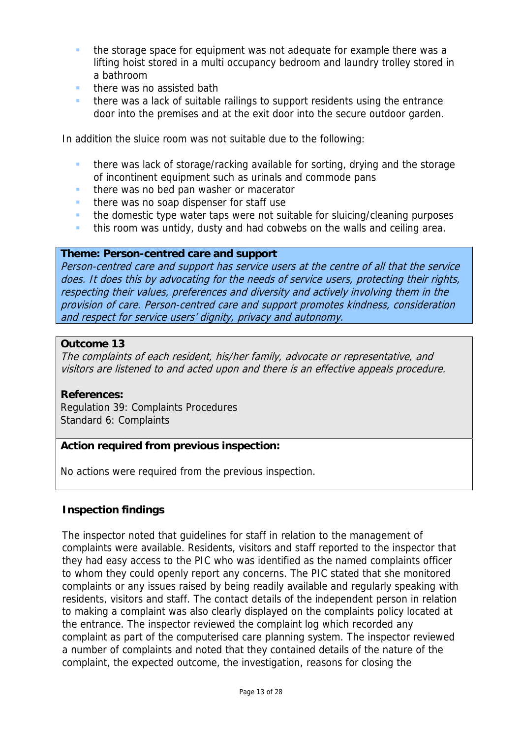- the storage space for equipment was not adequate for example there was a lifting hoist stored in a multi occupancy bedroom and laundry trolley stored in a bathroom
- there was no assisted bath
- there was a lack of suitable railings to support residents using the entrance door into the premises and at the exit door into the secure outdoor garden.

In addition the sluice room was not suitable due to the following:

- there was lack of storage/racking available for sorting, drying and the storage of incontinent equipment such as urinals and commode pans
- $\blacksquare$  there was no bed pan washer or macerator
- $\blacksquare$  there was no soap dispenser for staff use
- **the domestic type water taps were not suitable for sluicing/cleaning purposes**
- **this room was untidy, dusty and had cobwebs on the walls and ceiling area.**

#### **Theme: Person-centred care and support**

Person-centred care and support has service users at the centre of all that the service does. It does this by advocating for the needs of service users, protecting their rights, respecting their values, preferences and diversity and actively involving them in the provision of care. Person-centred care and support promotes kindness, consideration and respect for service users' dignity, privacy and autonomy.

#### **Outcome 13**

The complaints of each resident, his/her family, advocate or representative, and visitors are listened to and acted upon and there is an effective appeals procedure.

#### **References:**

Regulation 39: Complaints Procedures Standard 6: Complaints

## **Action required from previous inspection:**

No actions were required from the previous inspection.

## **Inspection findings**

The inspector noted that guidelines for staff in relation to the management of complaints were available. Residents, visitors and staff reported to the inspector that they had easy access to the PIC who was identified as the named complaints officer to whom they could openly report any concerns. The PIC stated that she monitored complaints or any issues raised by being readily available and regularly speaking with residents, visitors and staff. The contact details of the independent person in relation to making a complaint was also clearly displayed on the complaints policy located at the entrance. The inspector reviewed the complaint log which recorded any complaint as part of the computerised care planning system. The inspector reviewed a number of complaints and noted that they contained details of the nature of the complaint, the expected outcome, the investigation, reasons for closing the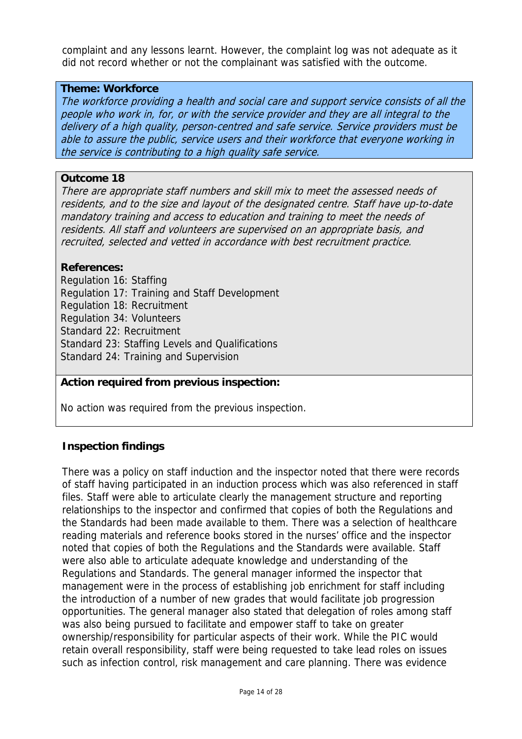complaint and any lessons learnt. However, the complaint log was not adequate as it did not record whether or not the complainant was satisfied with the outcome.

## **Theme: Workforce**

The workforce providing a health and social care and support service consists of all the people who work in, for, or with the service provider and they are all integral to the delivery of a high quality, person-centred and safe service. Service providers must be able to assure the public, service users and their workforce that everyone working in the service is contributing to a high quality safe service.

#### **Outcome 18**

There are appropriate staff numbers and skill mix to meet the assessed needs of residents, and to the size and layout of the designated centre. Staff have up-to-date mandatory training and access to education and training to meet the needs of residents. All staff and volunteers are supervised on an appropriate basis, and recruited, selected and vetted in accordance with best recruitment practice.

#### **References:**

Regulation 16: Staffing Regulation 17: Training and Staff Development Regulation 18: Recruitment Regulation 34: Volunteers Standard 22: Recruitment Standard 23: Staffing Levels and Qualifications Standard 24: Training and Supervision

## **Action required from previous inspection:**

No action was required from the previous inspection.

## **Inspection findings**

There was a policy on staff induction and the inspector noted that there were records of staff having participated in an induction process which was also referenced in staff files. Staff were able to articulate clearly the management structure and reporting relationships to the inspector and confirmed that copies of both the Regulations and the Standards had been made available to them. There was a selection of healthcare reading materials and reference books stored in the nurses' office and the inspector noted that copies of both the Regulations and the Standards were available. Staff were also able to articulate adequate knowledge and understanding of the Regulations and Standards. The general manager informed the inspector that management were in the process of establishing job enrichment for staff including the introduction of a number of new grades that would facilitate job progression opportunities. The general manager also stated that delegation of roles among staff was also being pursued to facilitate and empower staff to take on greater ownership/responsibility for particular aspects of their work. While the PIC would retain overall responsibility, staff were being requested to take lead roles on issues such as infection control, risk management and care planning. There was evidence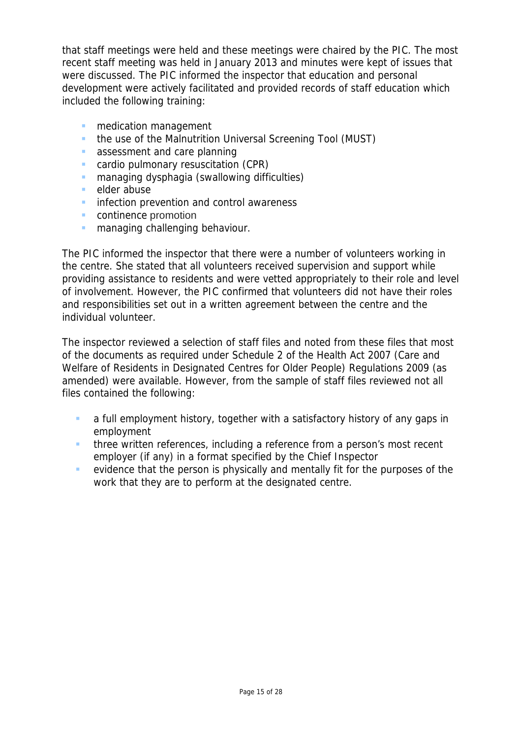that staff meetings were held and these meetings were chaired by the PIC. The most recent staff meeting was held in January 2013 and minutes were kept of issues that were discussed. The PIC informed the inspector that education and personal development were actively facilitated and provided records of staff education which included the following training:

- **n** medication management
- the use of the Malnutrition Universal Screening Tool (MUST)
- **assessment and care planning**
- cardio pulmonary resuscitation (CPR)
- **E** managing dysphagia (swallowing difficulties)
- elder abuse
- **infection prevention and control awareness**
- **continence promotion**
- **n** managing challenging behaviour.

The PIC informed the inspector that there were a number of volunteers working in the centre. She stated that all volunteers received supervision and support while providing assistance to residents and were vetted appropriately to their role and level of involvement. However, the PIC confirmed that volunteers did not have their roles and responsibilities set out in a written agreement between the centre and the individual volunteer.

The inspector reviewed a selection of staff files and noted from these files that most of the documents as required under Schedule 2 of the Health Act 2007 (Care and Welfare of Residents in Designated Centres for Older People) Regulations 2009 (as amended) were available. However, from the sample of staff files reviewed not all files contained the following:

- **a** a full employment history, together with a satisfactory history of any gaps in employment
- **three written references, including a reference from a person's most recent** employer (if any) in a format specified by the Chief Inspector
- evidence that the person is physically and mentally fit for the purposes of the work that they are to perform at the designated centre.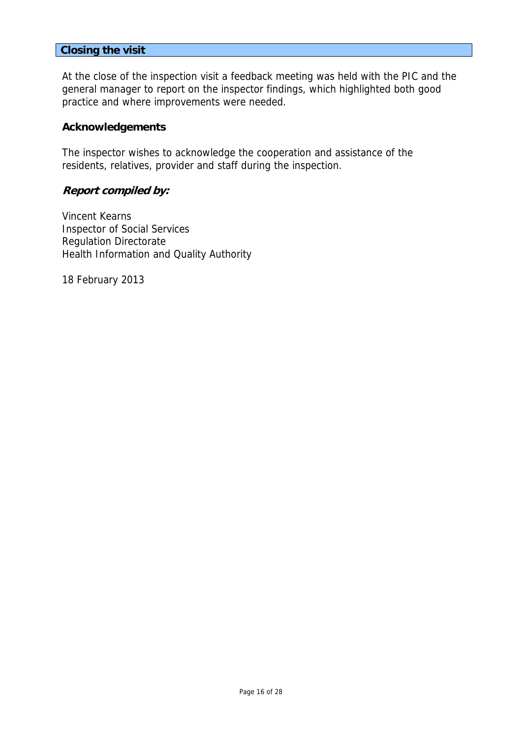#### **Closing the visit**

At the close of the inspection visit a feedback meeting was held with the PIC and the general manager to report on the inspector findings, which highlighted both good practice and where improvements were needed.

#### **Acknowledgements**

The inspector wishes to acknowledge the cooperation and assistance of the residents, relatives, provider and staff during the inspection.

## **Report compiled by:**

Vincent Kearns Inspector of Social Services Regulation Directorate Health Information and Quality Authority

18 February 2013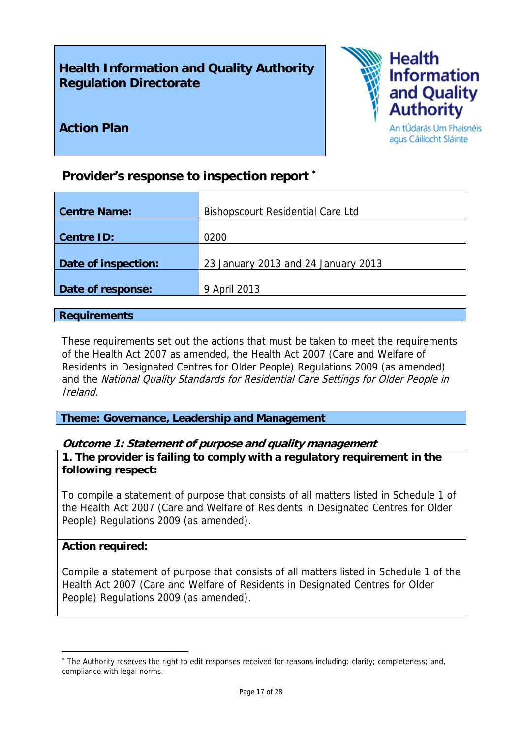# **Health Information and Quality Authority Regulation Directorate**

**Provider's response to inspection report** <sup>∗</sup>



agus Cáilíocht Sláinte

**Action Plan** 

| <b>Centre Name:</b> | <b>Bishopscourt Residential Care Ltd</b> |
|---------------------|------------------------------------------|
| <b>Centre ID:</b>   | 0200                                     |
| Date of inspection: | 23 January 2013 and 24 January 2013      |
| Date of response:   | 9 April 2013                             |

## **Requirements**

These requirements set out the actions that must be taken to meet the requirements of the Health Act 2007 as amended, the Health Act 2007 (Care and Welfare of Residents in Designated Centres for Older People) Regulations 2009 (as amended) and the National Quality Standards for Residential Care Settings for Older People in Ireland.

**Theme: Governance, Leadership and Management** 

## **Outcome 1: Statement of purpose and quality management**

**1. The provider is failing to comply with a regulatory requirement in the following respect:**

To compile a statement of purpose that consists of all matters listed in Schedule 1 of the Health Act 2007 (Care and Welfare of Residents in Designated Centres for Older People) Regulations 2009 (as amended).

## **Action required:**

<u>.</u>

Compile a statement of purpose that consists of all matters listed in Schedule 1 of the Health Act 2007 (Care and Welfare of Residents in Designated Centres for Older People) Regulations 2009 (as amended).

<sup>∗</sup> The Authority reserves the right to edit responses received for reasons including: clarity; completeness; and, compliance with legal norms.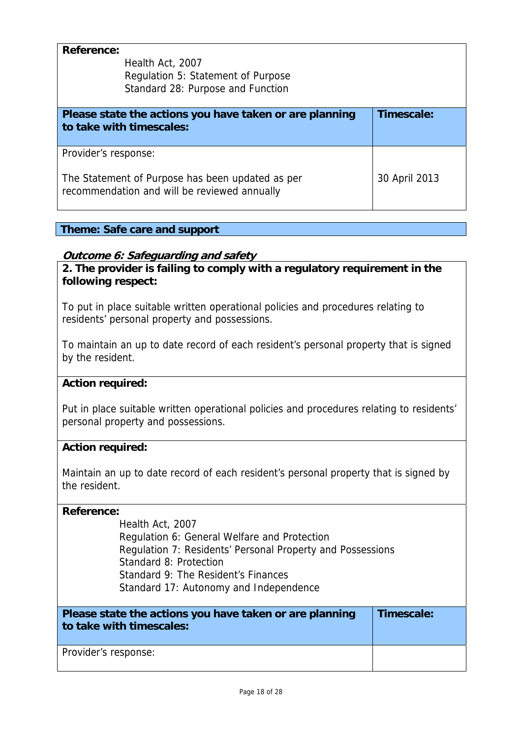| <b>Reference:</b><br>Health Act, 2007<br>Regulation 5: Statement of Purpose<br>Standard 28: Purpose and Function |            |
|------------------------------------------------------------------------------------------------------------------|------------|
| Please state the actions you have taken or are planning<br>to take with timescales:                              | Timescale: |
|                                                                                                                  |            |
| Provider's response:                                                                                             |            |

## **Theme: Safe care and support**

## **Outcome 6: Safeguarding and safety**

**2. The provider is failing to comply with a regulatory requirement in the following respect:**

To put in place suitable written operational policies and procedures relating to residents' personal property and possessions.

To maintain an up to date record of each resident's personal property that is signed by the resident.

#### **Action required:**

Put in place suitable written operational policies and procedures relating to residents' personal property and possessions.

#### **Action required:**

Maintain an up to date record of each resident's personal property that is signed by the resident.

#### **Reference:**

Health Act, 2007 Regulation 6: General Welfare and Protection Regulation 7: Residents' Personal Property and Possessions Standard 8: Protection Standard 9: The Resident's Finances Standard 17: Autonomy and Independence

| Please state the actions you have taken or are planning<br>to take with timescales: | Timescale: |
|-------------------------------------------------------------------------------------|------------|
| Provider's response:                                                                |            |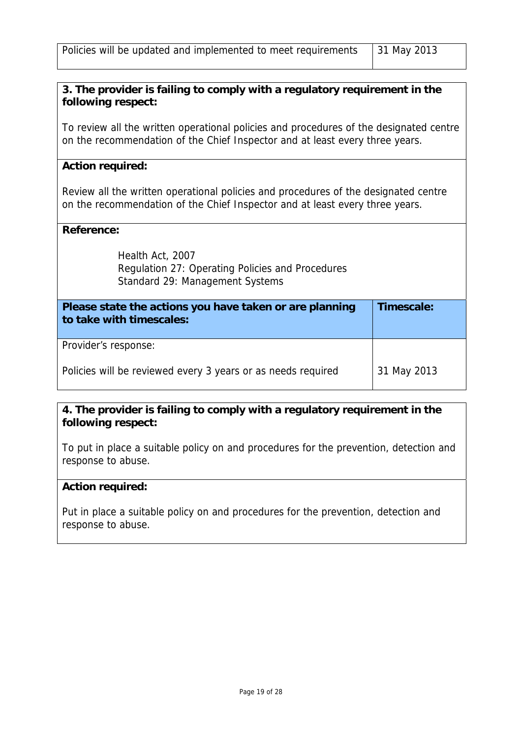## **3. The provider is failing to comply with a regulatory requirement in the following respect:**

To review all the written operational policies and procedures of the designated centre on the recommendation of the Chief Inspector and at least every three years.

## **Action required:**

Review all the written operational policies and procedures of the designated centre on the recommendation of the Chief Inspector and at least every three years.

#### **Reference:**

Health Act, 2007 Regulation 27: Operating Policies and Procedures Standard 29: Management Systems

| Please state the actions you have taken or are planning<br>to take with timescales: | Timescale:  |
|-------------------------------------------------------------------------------------|-------------|
| Provider's response:                                                                |             |
| Policies will be reviewed every 3 years or as needs required                        | 31 May 2013 |

## **4. The provider is failing to comply with a regulatory requirement in the following respect:**

To put in place a suitable policy on and procedures for the prevention, detection and response to abuse.

## **Action required:**

Put in place a suitable policy on and procedures for the prevention, detection and response to abuse.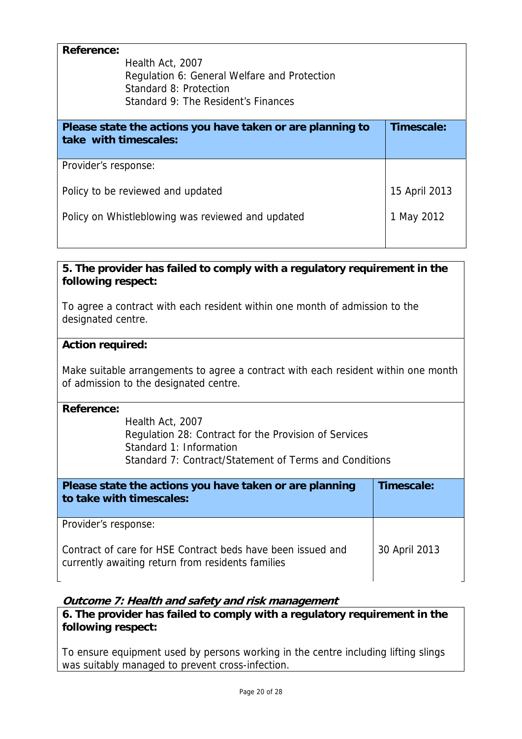| <b>Reference:</b><br>Health Act, 2007<br>Regulation 6: General Welfare and Protection<br>Standard 8: Protection<br>Standard 9: The Resident's Finances |               |
|--------------------------------------------------------------------------------------------------------------------------------------------------------|---------------|
| Please state the actions you have taken or are planning to<br>take with timescales:                                                                    | Timescale:    |
| Provider's response:                                                                                                                                   |               |
| Policy to be reviewed and updated                                                                                                                      | 15 April 2013 |
| Policy on Whistleblowing was reviewed and updated                                                                                                      | 1 May 2012    |

## **5. The provider has failed to comply with a regulatory requirement in the following respect:**

To agree a contract with each resident within one month of admission to the designated centre.

## **Action required:**

Make suitable arrangements to agree a contract with each resident within one month of admission to the designated centre.

## **Reference:**

Health Act, 2007 Regulation 28: Contract for the Provision of Services Standard 1: Information Standard 7: Contract/Statement of Terms and Conditions

| Please state the actions you have taken or are planning<br>to take with timescales:                              | Timescale:    |
|------------------------------------------------------------------------------------------------------------------|---------------|
| Provider's response:                                                                                             |               |
| Contract of care for HSE Contract beds have been issued and<br>currently awaiting return from residents families | 30 April 2013 |

## **Outcome 7: Health and safety and risk management**

**6. The provider has failed to comply with a regulatory requirement in the following respect:** 

To ensure equipment used by persons working in the centre including lifting slings was suitably managed to prevent cross-infection.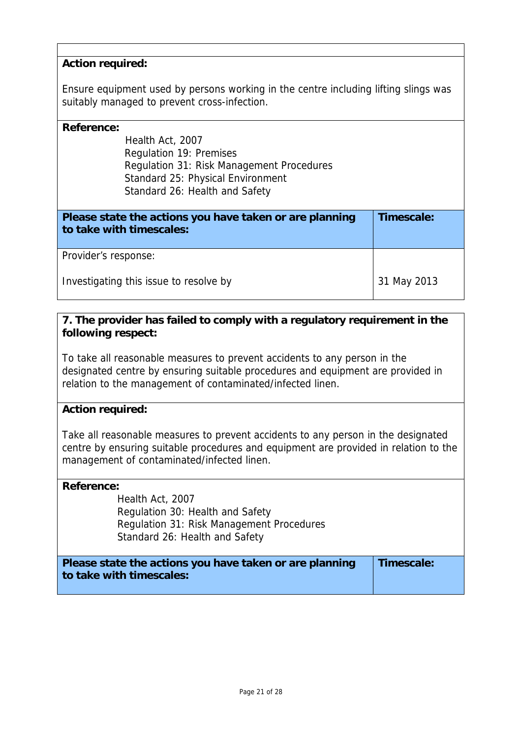## **Action required:**

Ensure equipment used by persons working in the centre including lifting slings was suitably managed to prevent cross-infection.

#### **Reference:**

Health Act, 2007 Regulation 19: Premises Regulation 31: Risk Management Procedures Standard 25: Physical Environment Standard 26: Health and Safety

| Please state the actions you have taken or are planning<br>to take with timescales: | Timescale:  |
|-------------------------------------------------------------------------------------|-------------|
| Provider's response:                                                                |             |
| Investigating this issue to resolve by                                              | 31 May 2013 |

## **7. The provider has failed to comply with a regulatory requirement in the following respect:**

To take all reasonable measures to prevent accidents to any person in the designated centre by ensuring suitable procedures and equipment are provided in relation to the management of contaminated/infected linen.

## **Action required:**

Take all reasonable measures to prevent accidents to any person in the designated centre by ensuring suitable procedures and equipment are provided in relation to the management of contaminated/infected linen.

#### **Reference:**

Health Act, 2007 Regulation 30: Health and Safety Regulation 31: Risk Management Procedures Standard 26: Health and Safety

| Please state the actions you have taken or are planning | Timescale: |
|---------------------------------------------------------|------------|
| to take with timescales:                                |            |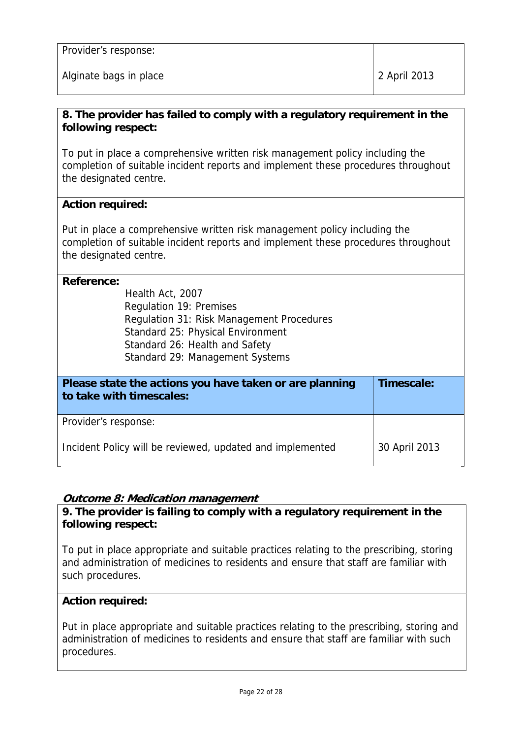Alginate bags in place 2 2 April 2013

## **8. The provider has failed to comply with a regulatory requirement in the following respect:**

To put in place a comprehensive written risk management policy including the completion of suitable incident reports and implement these procedures throughout the designated centre.

## **Action required:**

Put in place a comprehensive written risk management policy including the completion of suitable incident reports and implement these procedures throughout the designated centre.

## **Reference:**

Health Act, 2007 Regulation 19: Premises Regulation 31: Risk Management Procedures Standard 25: Physical Environment Standard 26: Health and Safety Standard 29: Management Systems

| Please state the actions you have taken or are planning<br>to take with timescales: | Timescale:    |
|-------------------------------------------------------------------------------------|---------------|
| Provider's response:                                                                |               |
| Incident Policy will be reviewed, updated and implemented                           | 30 April 2013 |

## **Outcome 8: Medication management**

**9. The provider is failing to comply with a regulatory requirement in the following respect:**

To put in place appropriate and suitable practices relating to the prescribing, storing and administration of medicines to residents and ensure that staff are familiar with such procedures.

## **Action required:**

Put in place appropriate and suitable practices relating to the prescribing, storing and administration of medicines to residents and ensure that staff are familiar with such procedures.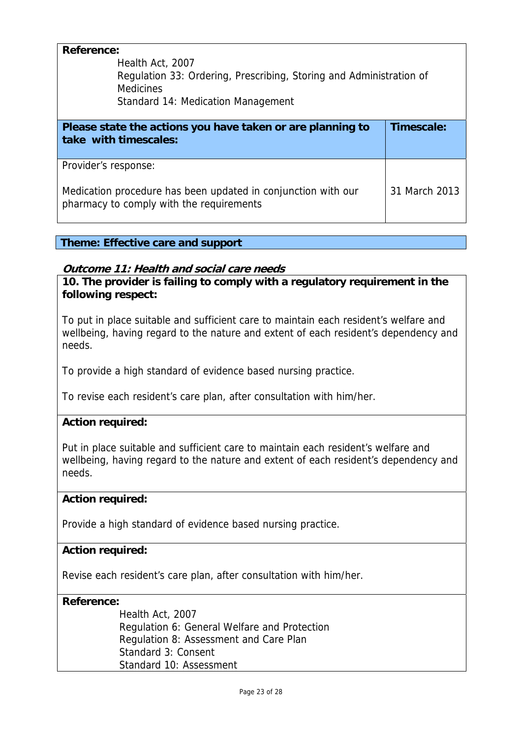| <b>Reference:</b><br>Health Act, 2007<br>Regulation 33: Ordering, Prescribing, Storing and Administration of<br><b>Medicines</b><br>Standard 14: Medication Management |               |
|------------------------------------------------------------------------------------------------------------------------------------------------------------------------|---------------|
| Please state the actions you have taken or are planning to<br>take with timescales:                                                                                    | Timescale:    |
| Provider's response:<br>Medication procedure has been updated in conjunction with our<br>pharmacy to comply with the requirements                                      | 31 March 2013 |

## **Theme: Effective care and support**

## **Outcome 11: Health and social care needs**

**10. The provider is failing to comply with a regulatory requirement in the following respect:**

To put in place suitable and sufficient care to maintain each resident's welfare and wellbeing, having regard to the nature and extent of each resident's dependency and needs.

To provide a high standard of evidence based nursing practice.

To revise each resident's care plan, after consultation with him/her.

## **Action required:**

Put in place suitable and sufficient care to maintain each resident's welfare and wellbeing, having regard to the nature and extent of each resident's dependency and needs.

## **Action required:**

Provide a high standard of evidence based nursing practice.

## **Action required:**

Revise each resident's care plan, after consultation with him/her.

## **Reference:**

Health Act, 2007 Regulation 6: General Welfare and Protection Regulation 8: Assessment and Care Plan Standard 3: Consent Standard 10: Assessment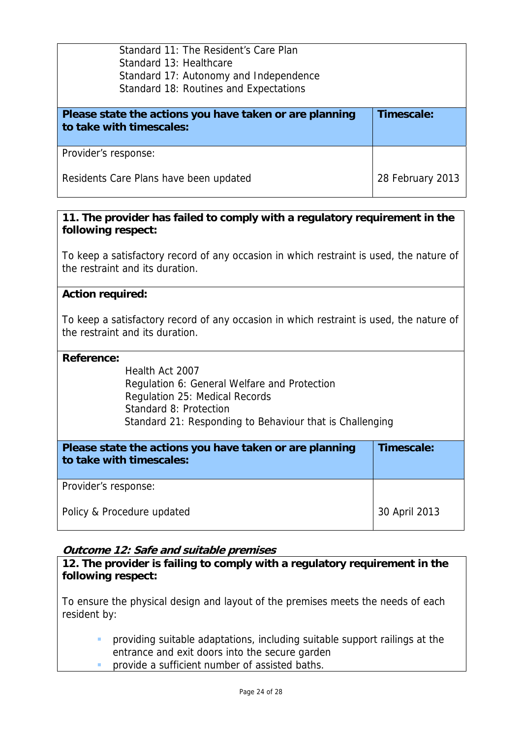| Standard 11: The Resident's Care Plan<br>Standard 13: Healthcare<br>Standard 17: Autonomy and Independence<br>Standard 18: Routines and Expectations |                  |
|------------------------------------------------------------------------------------------------------------------------------------------------------|------------------|
| Please state the actions you have taken or are planning<br>to take with timescales:                                                                  | Timescale:       |
| Provider's response:                                                                                                                                 |                  |
| Residents Care Plans have been updated                                                                                                               | 28 February 2013 |

## **11. The provider has failed to comply with a regulatory requirement in the following respect:**

To keep a satisfactory record of any occasion in which restraint is used, the nature of the restraint and its duration.

## **Action required:**

To keep a satisfactory record of any occasion in which restraint is used, the nature of the restraint and its duration.

#### **Reference:**

Health Act 2007 Regulation 6: General Welfare and Protection Regulation 25: Medical Records Standard 8: Protection Standard 21: Responding to Behaviour that is Challenging

| Please state the actions you have taken or are planning<br>to take with timescales: | Timescale:    |
|-------------------------------------------------------------------------------------|---------------|
| Provider's response:                                                                |               |
| Policy & Procedure updated                                                          | 30 April 2013 |

## **Outcome 12: Safe and suitable premises**

**12. The provider is failing to comply with a regulatory requirement in the following respect:**

To ensure the physical design and layout of the premises meets the needs of each resident by:

- providing suitable adaptations, including suitable support railings at the entrance and exit doors into the secure garden
- **PEDECITE:** provide a sufficient number of assisted baths.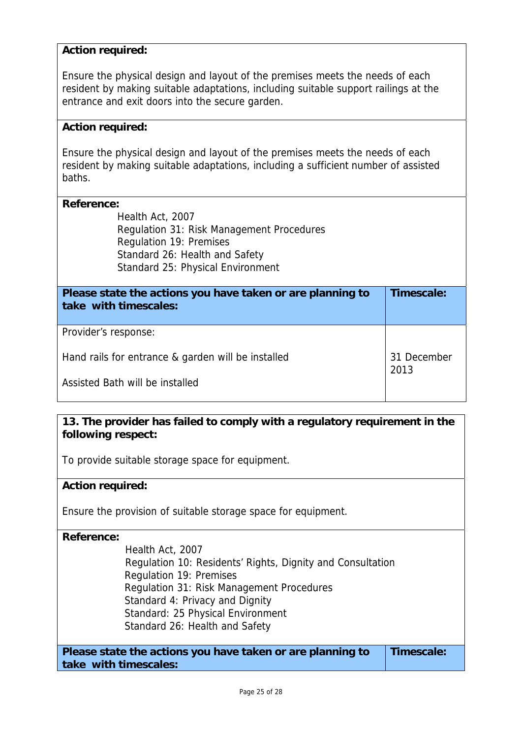## **Action required:**

Ensure the physical design and layout of the premises meets the needs of each resident by making suitable adaptations, including suitable support railings at the entrance and exit doors into the secure garden.

### **Action required:**

Ensure the physical design and layout of the premises meets the needs of each resident by making suitable adaptations, including a sufficient number of assisted baths.

#### **Reference:**

Health Act, 2007 Regulation 31: Risk Management Procedures Regulation 19: Premises Standard 26: Health and Safety Standard 25: Physical Environment

| Please state the actions you have taken or are planning to<br>take with timescales: | Timescale:          |
|-------------------------------------------------------------------------------------|---------------------|
| Provider's response:                                                                |                     |
| Hand rails for entrance & garden will be installed                                  | 31 December<br>2013 |
| Assisted Bath will be installed                                                     |                     |

## **13. The provider has failed to comply with a regulatory requirement in the following respect:**

To provide suitable storage space for equipment.

## **Action required:**

Ensure the provision of suitable storage space for equipment.

**Reference:**

Health Act, 2007 Regulation 10: Residents' Rights, Dignity and Consultation Regulation 19: Premises Regulation 31: Risk Management Procedures Standard 4: Privacy and Dignity Standard: 25 Physical Environment Standard 26: Health and Safety

| Please state the actions you have taken or are planning to | Timescale: |
|------------------------------------------------------------|------------|
| take with timescales:                                      |            |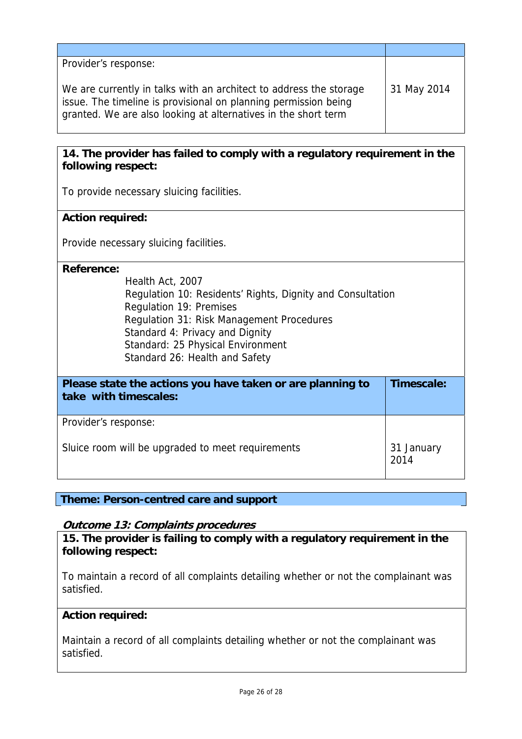| Provider's response:                                                                                                                                                                                    |             |
|---------------------------------------------------------------------------------------------------------------------------------------------------------------------------------------------------------|-------------|
| We are currently in talks with an architect to address the storage<br>issue. The timeline is provisional on planning permission being<br>granted. We are also looking at alternatives in the short term | 31 May 2014 |

## **14. The provider has failed to comply with a regulatory requirement in the following respect:**

To provide necessary sluicing facilities.

## **Action required:**

Provide necessary sluicing facilities.

#### **Reference:**

Health Act, 2007 Regulation 10: Residents' Rights, Dignity and Consultation Regulation 19: Premises Regulation 31: Risk Management Procedures Standard 4: Privacy and Dignity Standard: 25 Physical Environment Standard 26: Health and Safety

| Please state the actions you have taken or are planning to<br>take with timescales: | Timescale:         |
|-------------------------------------------------------------------------------------|--------------------|
| Provider's response:                                                                |                    |
| Sluice room will be upgraded to meet requirements                                   | 31 January<br>2014 |

**Theme: Person-centred care and support** 

## **Outcome 13: Complaints procedures**

**15. The provider is failing to comply with a regulatory requirement in the following respect:**

To maintain a record of all complaints detailing whether or not the complainant was satisfied.

## **Action required:**

Maintain a record of all complaints detailing whether or not the complainant was satisfied.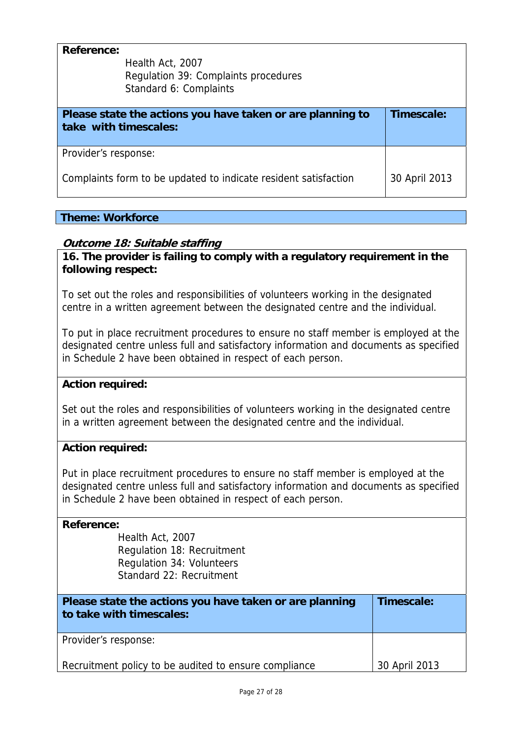| <b>Reference:</b>     | Health Act, 2007<br>Regulation 39: Complaints procedures<br>Standard 6: Complaints |               |
|-----------------------|------------------------------------------------------------------------------------|---------------|
| take with timescales: | Please state the actions you have taken or are planning to                         | Timescale:    |
| Provider's response:  |                                                                                    |               |
|                       | Complaints form to be updated to indicate resident satisfaction                    | 30 April 2013 |

## **Theme: Workforce**

## **Outcome 18: Suitable staffing**

**16. The provider is failing to comply with a regulatory requirement in the following respect:**

To set out the roles and responsibilities of volunteers working in the designated centre in a written agreement between the designated centre and the individual.

To put in place recruitment procedures to ensure no staff member is employed at the designated centre unless full and satisfactory information and documents as specified in Schedule 2 have been obtained in respect of each person.

## **Action required:**

Set out the roles and responsibilities of volunteers working in the designated centre in a written agreement between the designated centre and the individual.

## **Action required:**

Put in place recruitment procedures to ensure no staff member is employed at the designated centre unless full and satisfactory information and documents as specified in Schedule 2 have been obtained in respect of each person.

#### **Reference:**

Health Act, 2007 Regulation 18: Recruitment Regulation 34: Volunteers Standard 22: Recruitment

| Please state the actions you have taken or are planning<br>to take with timescales: | Timescale:    |
|-------------------------------------------------------------------------------------|---------------|
| Provider's response:                                                                |               |
| Recruitment policy to be audited to ensure compliance                               | 30 April 2013 |